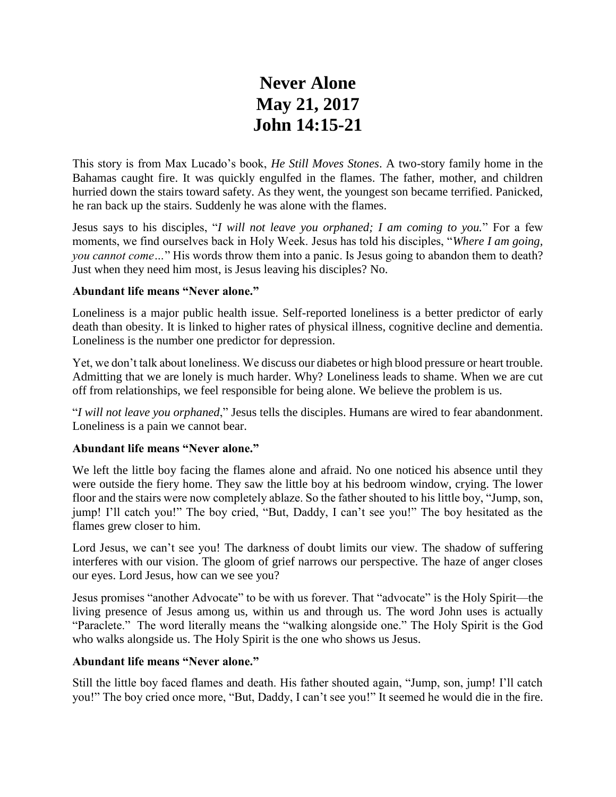# **Never Alone May 21, 2017 John 14:15-21**

This story is from Max Lucado's book, *He Still Moves Stones*. A two-story family home in the Bahamas caught fire. It was quickly engulfed in the flames. The father, mother, and children hurried down the stairs toward safety. As they went, the youngest son became terrified. Panicked, he ran back up the stairs. Suddenly he was alone with the flames.

Jesus says to his disciples, "*I will not leave you orphaned; I am coming to you.*" For a few moments, we find ourselves back in Holy Week. Jesus has told his disciples, "*Where I am going, you cannot come…*" His words throw them into a panic. Is Jesus going to abandon them to death? Just when they need him most, is Jesus leaving his disciples? No.

## **Abundant life means "Never alone."**

Loneliness is a major public health issue. Self-reported loneliness is a better predictor of early death than obesity. It is linked to higher rates of physical illness, cognitive decline and dementia. Loneliness is the number one predictor for depression.

Yet, we don't talk about loneliness. We discuss our diabetes or high blood pressure or heart trouble. Admitting that we are lonely is much harder. Why? Loneliness leads to shame. When we are cut off from relationships, we feel responsible for being alone. We believe the problem is us.

"*I will not leave you orphaned*," Jesus tells the disciples. Humans are wired to fear abandonment. Loneliness is a pain we cannot bear.

#### **Abundant life means "Never alone."**

We left the little boy facing the flames alone and afraid. No one noticed his absence until they were outside the fiery home. They saw the little boy at his bedroom window, crying. The lower floor and the stairs were now completely ablaze. So the father shouted to his little boy, "Jump, son, jump! I'll catch you!" The boy cried, "But, Daddy, I can't see you!" The boy hesitated as the flames grew closer to him.

Lord Jesus, we can't see you! The darkness of doubt limits our view. The shadow of suffering interferes with our vision. The gloom of grief narrows our perspective. The haze of anger closes our eyes. Lord Jesus, how can we see you?

Jesus promises "another Advocate" to be with us forever. That "advocate" is the Holy Spirit—the living presence of Jesus among us, within us and through us. The word John uses is actually "Paraclete." The word literally means the "walking alongside one." The Holy Spirit is the God who walks alongside us. The Holy Spirit is the one who shows us Jesus.

## **Abundant life means "Never alone."**

Still the little boy faced flames and death. His father shouted again, "Jump, son, jump! I'll catch you!" The boy cried once more, "But, Daddy, I can't see you!" It seemed he would die in the fire.